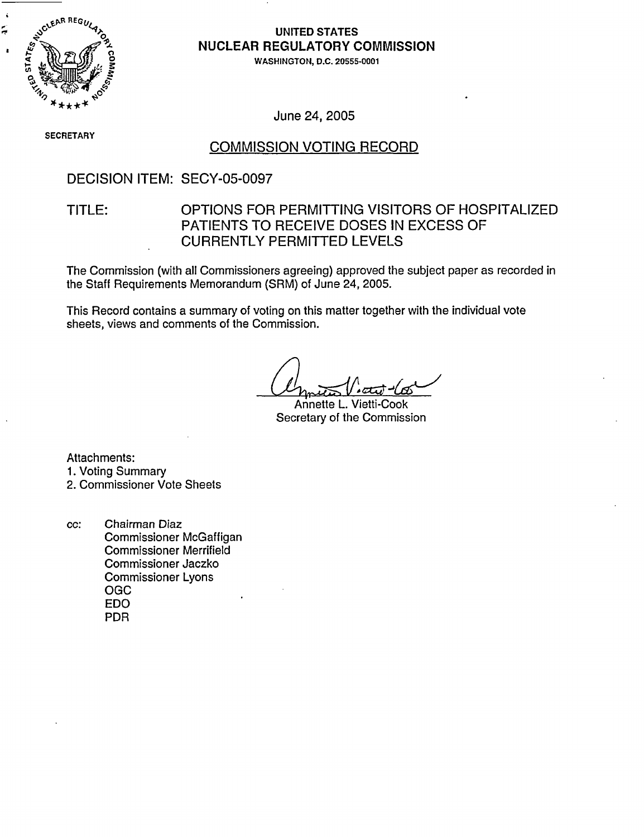

# **NUCLEAR** REGULATORY COMMISSION

**0** WASHINGTON, **D.C. 20555-0001**

June 24, 2005

**SECRETARY**

### COMMISSION VOTING RECORD

#### DECISION ITEM: SECY-05-0097

### TITLE: OPTIONS FOR PERMITTING VISITORS OF HOSPITALIZED PATIENTS TO RECEIVE DOSES IN EXCESS OF CURRENTLY PERMITTED LEVELS

The Commission (with all Commissioners agreeing) approved the subject paper as recorded in the Staff Requirements Memorandum (SRM) of June 24, 2005.

This Record contains a summary of voting on this matter together with the individual vote sheets, views and comments of the Commission.

Annette L. Vietti-Cook Secretary of the Commission

Attachments:

1. Voting Summary

#### 2. Commissioner Vote Sheets

cc: Chairman Diaz Commissioner McGaffigan Commissioner Merrifield Commissioner Jaczko Commissioner Lyons OGC EDO PDR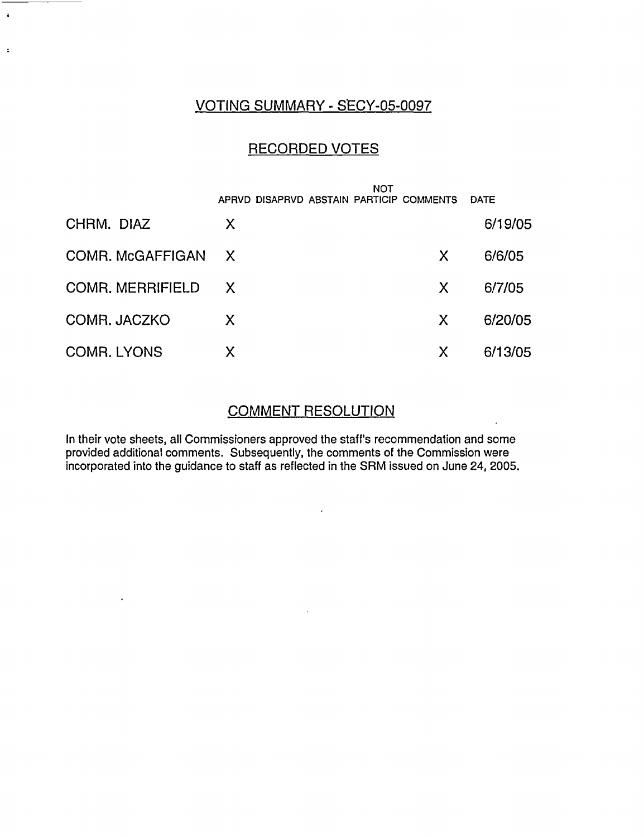### VOTING SUMMARY - SECY-05-0097

 $\ddot{\bullet}$ 

 $\ddot{\phantom{a}}$ 

### RECORDED VOTES

|                         | <b>NOT</b><br>APRVD DISAPRVD ABSTAIN PARTICIP COMMENTS |    | <b>DATE</b> |
|-------------------------|--------------------------------------------------------|----|-------------|
| CHRM. DIAZ              | X                                                      |    | 6/19/05     |
| COMR. McGAFFIGAN        | $\mathsf{X}$                                           | X  | 6/6/05      |
| <b>COMR. MERRIFIELD</b> | X                                                      | X  | 6/7/05      |
| COMR. JACZKO            | X                                                      | X. | 6/20/05     |
| <b>COMR. LYONS</b>      | Χ                                                      | Χ  | 6/13/05     |

# COMMENT RESOLUTION

 $\overline{\phantom{a}}$ 

 $\lambda$ 

In their vote sheets, all Commissioners approved the staff's recommendation and some provided additional comments. Subsequently, the comments of the Commission were incorporated into the guidance to staff as reflected in the SRM issued on June 24, 2005.

 $\sim$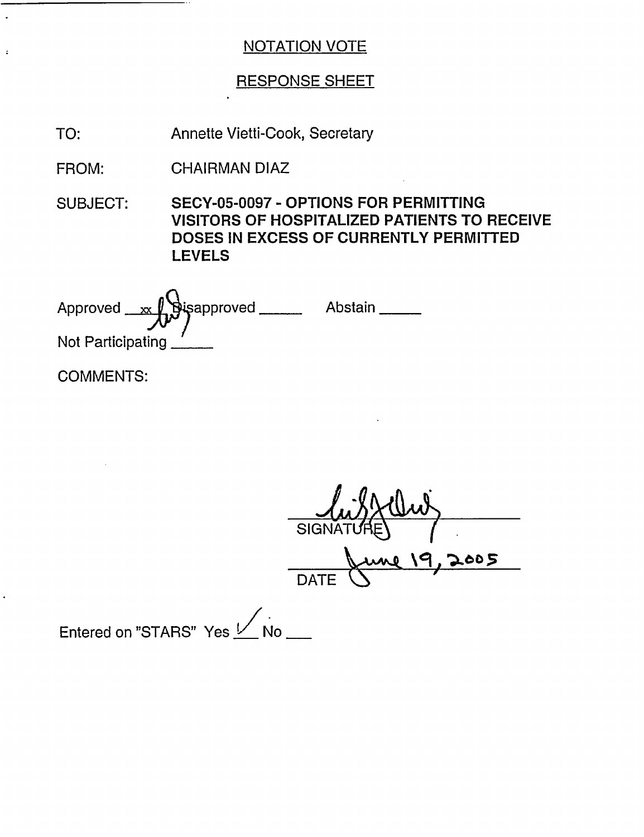# RESPONSE SHEET

TO: Annette Vietti-Cook, Secretary

FROM: CHAIRMAN DIAZ

SUBJECT: SECY-05-0097 - OPTIONS FOR PERMITTING VISITORS OF HOSPITALIZED PATIENTS TO RECEIVE DOSES IN EXCESS OF CURRENTLY PERMITTED LEVELS

Approved  $\begin{picture}(180,190)(0) \put(0,0){\line(1,0){15}} \put(15,0){\line(1,0){15}} \put(15,0){\line(1,0){15}} \put(15,0){\line(1,0){15}} \put(15,0){\line(1,0){15}} \put(15,0){\line(1,0){15}} \put(15,0){\line(1,0){15}} \put(15,0){\line(1,0){15}} \put(15,0){\line(1,0){15}} \put(15,0){\line(1,0){15}} \put(15,0){\line(1,0){15$ Not Participating

COMMENTS:

 $\ddot{\phantom{a}}$ 

 $\overline{\text{SIGI}}$ \q a, **-5b- zO**  $\bigcirc$  DATE  $\bigcirc$ 

Entered on "STARS" Yes Mo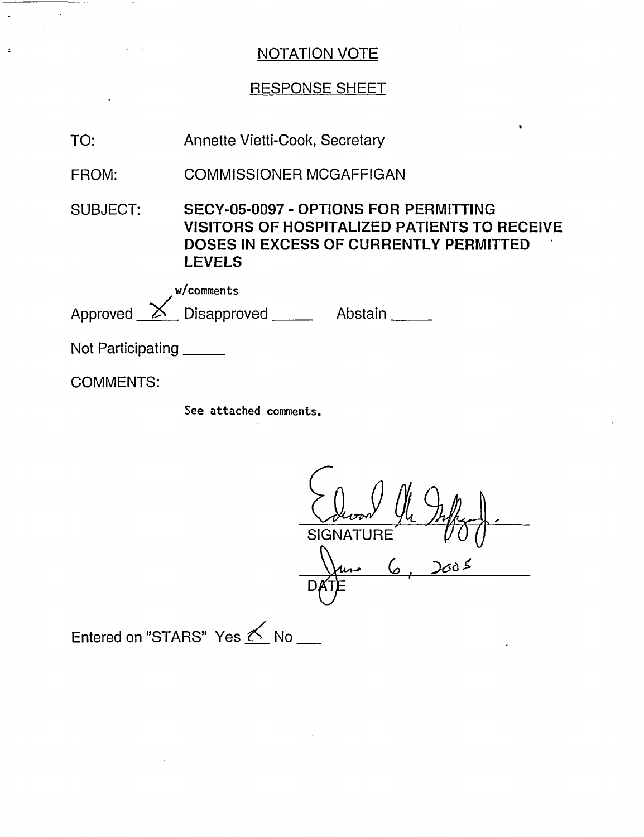# RESPONSE SHEET

| TO:                      | Annette Vietti-Cook, Secretary                                                                                                                                 |  |
|--------------------------|----------------------------------------------------------------------------------------------------------------------------------------------------------------|--|
| FROM:                    | <b>COMMISSIONER MCGAFFIGAN</b>                                                                                                                                 |  |
| <b>SUBJECT:</b>          | SECY-05-0097 - OPTIONS FOR PERMITTING<br><b>VISITORS OF HOSPITALIZED PATIENTS TO RECEIVE</b><br><b>DOSES IN EXCESS OF CURRENTLY PERMITTED</b><br><b>LEVELS</b> |  |
|                          | w/comments<br>Approved X Disapproved Abstain                                                                                                                   |  |
| Not Participating ______ |                                                                                                                                                                |  |
| <b>COMMENTS:</b>         |                                                                                                                                                                |  |
|                          | See attached comments.                                                                                                                                         |  |

 $\mathcal{M}_{\mathcal{A}}$ SIGNATURE  $2005$ 6  $\frac{\sqrt{\mu}}{DATE}$ 

Entered on "STARS" Yes **K** No \_\_\_

 $\ddot{\phantom{0}}$  $\overline{\phantom{a}}$ 

 $\ddot{\phantom{a}}$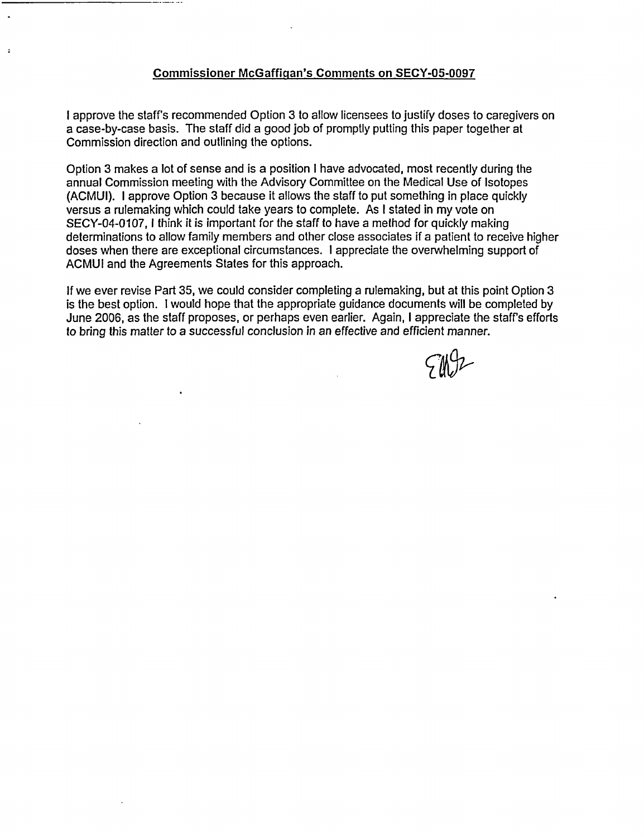#### Commissioner McGaffiqan's Comments on SECY-05-0097

I approve the staff's recommended Option 3 to allow licensees to justify doses to caregivers on a case-by-case basis. The staff did a good job of promptly putting this paper together at Commission direction and outlining the options.

Option 3 makes a lot of sense and is a position I have advocated, most recently during the annual Commission meeting with the Advisory Committee on the Medical Use of Isotopes (ACMUI). I approve Option 3 because it allows the staff to put something in place quickly versus a rulemaking which could take years to complete. As I stated in my vote on SECY-04-0107, I think it is important for the staff to have a method for quickly making determinations to allow family members and other close associates if a patient to receive higher doses when there are exceptional circumstances. I appreciate the overwhelming support of ACMUI and the Agreements States for this approach.

If we ever revise Part 35, we could consider completing a rulemaking, but at this point Option 3 is the best option. I would hope that the appropriate guidance documents will be completed by June 2006, as the staff proposes, or perhaps even earlier. Again, I appreciate the staffs efforts to bring this matter to a successful conclusion in an effective and efficient manner.

 $700 -$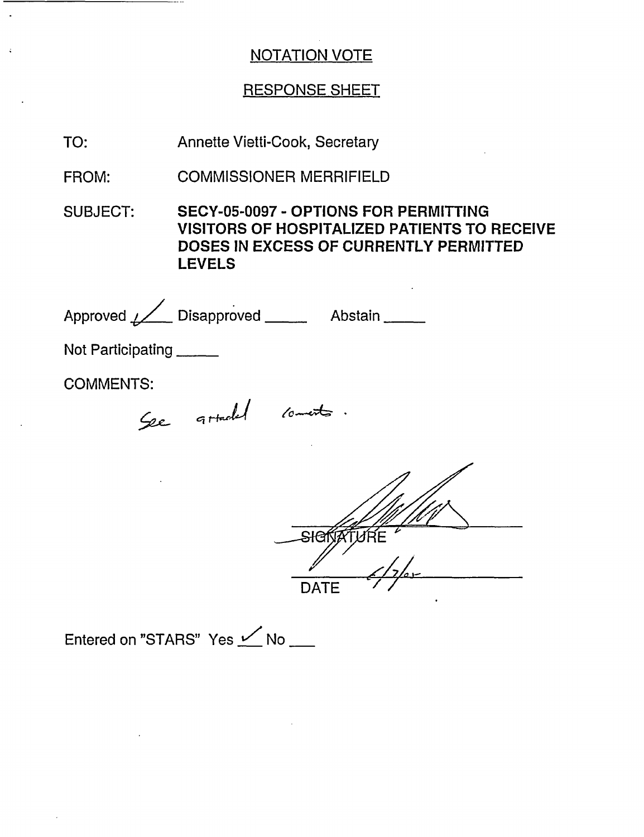# RESPONSE SHEET

TO: Annette Vietti-Cook, Secretary

FROM: COMMISSIONER MERRIFIELD

SUBJECT: SECY-05-0097 - OPTIONS FOR PERMITTING VISITORS OF HOSPITALIZED PATIENTS TO RECEIVE DOSES IN EXCESS OF CURRENTLY PERMITTED LEVELS

Approved / Disapproved \_\_\_\_\_\_ Abstain \_\_\_\_\_

Not Participating \_\_\_\_\_

COMMENTS:

*4 -* **c;** o

SIGNATURE **DATE** 

Entered on "STARS" Yes  $\angle$  No \_\_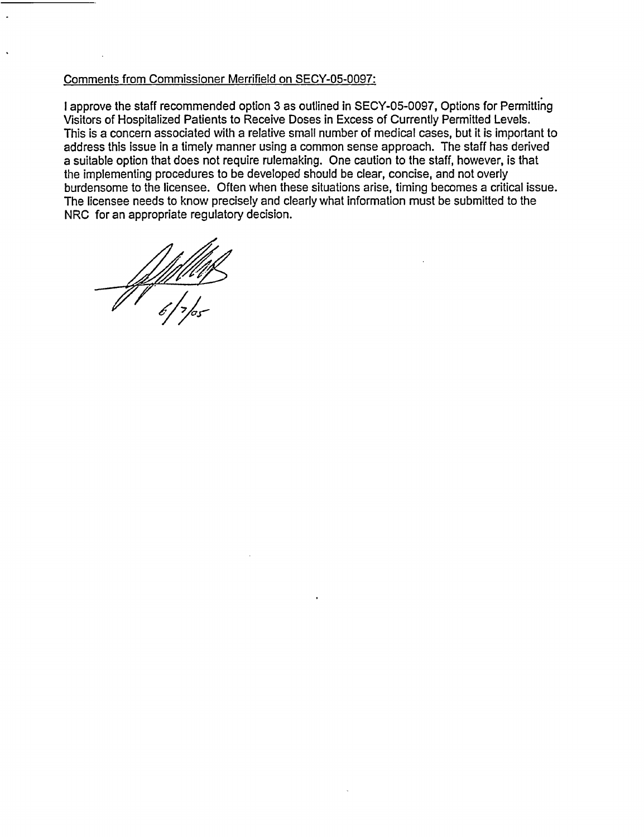#### Comments from Commissioner Merrifield on SECY-05-0097:

I approve the staff recommended option 3 as outlined in SECY-05-0097, Options for Permitting Visitors of Hospitalized Patients to Receive Doses in Excess of Currently Permitted Levels. This is a concern associated with a relative small number of medical cases, but it is important to address this issue in a timely manner using a common sense approach. The staff has derived a suitable option that does not require rulemaking. One caution to the staff, however, is that the implementing procedures to be developed should be clear, concise, and not overly burdensome to the licensee. Often when these situations arise, timing becomes a critical issue. The licensee needs to know precisely and clearly what information must be submitted to the NRC for an appropriate regulatory decision.

6/ X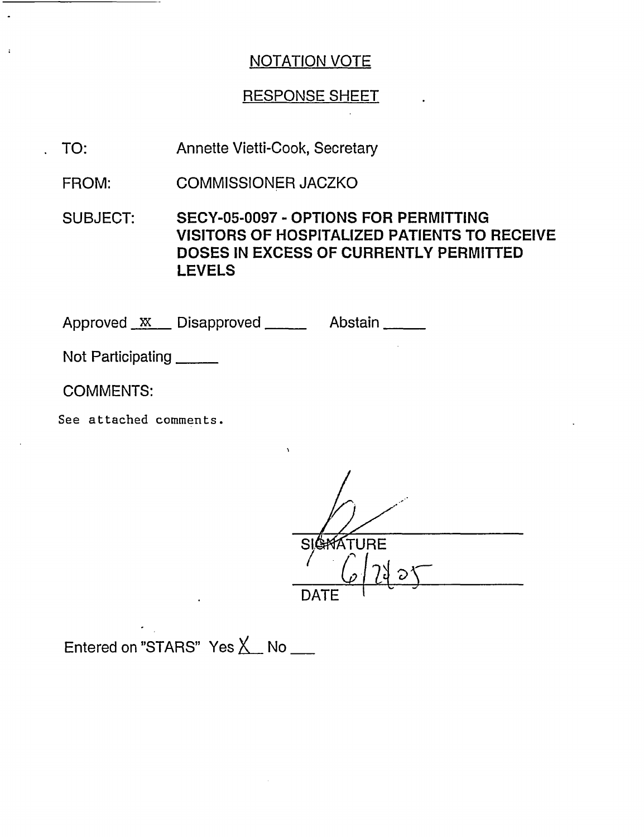# RESPONSE SHEET

- TO: Annette Vietti-Cook, Secretary
- FROM: COMMISSIONER JACZKO

SUBJECT: SECY-05-0097 - OPTIONS FOR PERMITTING VISITORS OF HOSPITALIZED PATIENTS TO RECEIVE DOSES IN EXCESS OF CURRENTLY PERMITTED LEVELS

Approved  $X$  Disapproved Abstain

Not Participating \_\_\_\_\_

COMMENTS:

See attached comments.

**SIGRATURE**  $\mathsf{DATE}$ 

Entered on "STARS" Yes  $X$  No  $\_\_$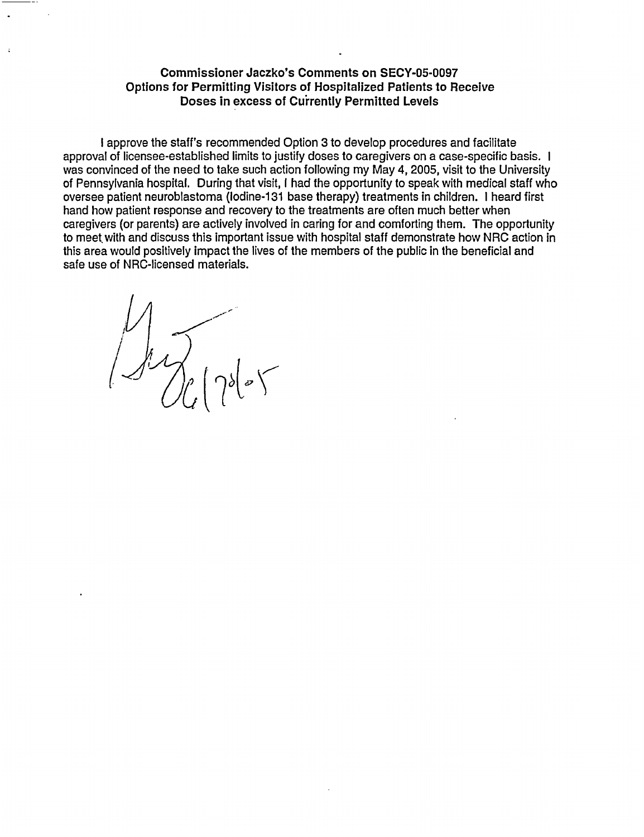#### **Commissioner Jaczko's Comments on** SECY-05-0097 **Options for Permitting Visitors of Hospitalized Patients to Receive Doses** in **excess of Currently Permitted Levels**

I approve the staff's recommended Option 3 to develop procedures and facilitate approval of licensee-established limits to justify doses to caregivers on a case-specific basis. I was convinced of the need to take such action following my May 4, 2005, visit to the University of Pennsylvania hospital. During that visit, I had the opportunity to speak with medical staff who oversee patient neuroblastoma (lodine-131 base therapy) treatments in children. I heard first hand how patient response and recovery to the treatments are often much better when caregivers (or parents) are actively involved in caring for and comforting them. The opportunity to meet with and discuss this important issue with hospital staff demonstrate how NRC action in this area would positively impact the lives of the members of the public in the beneficial and safe use of NRC-licensed materials.

 $\sim$  $\omega$  /  $\rho$  |  $\gamma$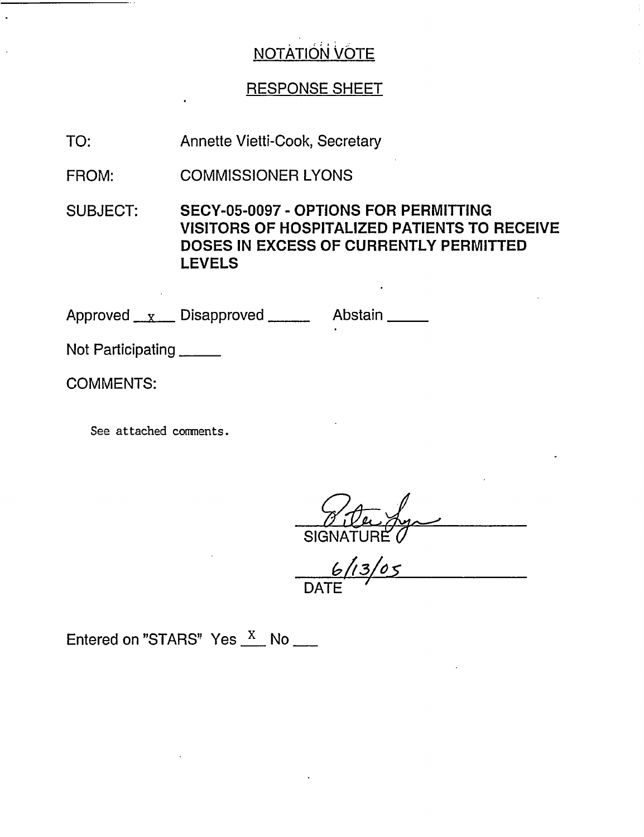# RESPONSE SHEET

TO: Annette Vietti-Cook, Secretary

FROM: COMMISSIONER LYONS

SUBJECT: SECY-05-0097 - OPTIONS FOR PERMITTING VISITORS OF HOSPITALIZED PATIENTS TO RECEIVE DOSES IN EXCESS OF CURRENTLY PERMITTED LEVELS

Approved x Disapproved Abstain

Not Participating

COMMENTS:

See attached comments.

*9 1-2--,* , SIGN

*& Z13ZO S* DATE

Entered on "STARS" Yes  $\frac{X}{X}$  No  $\frac{X}{X}$